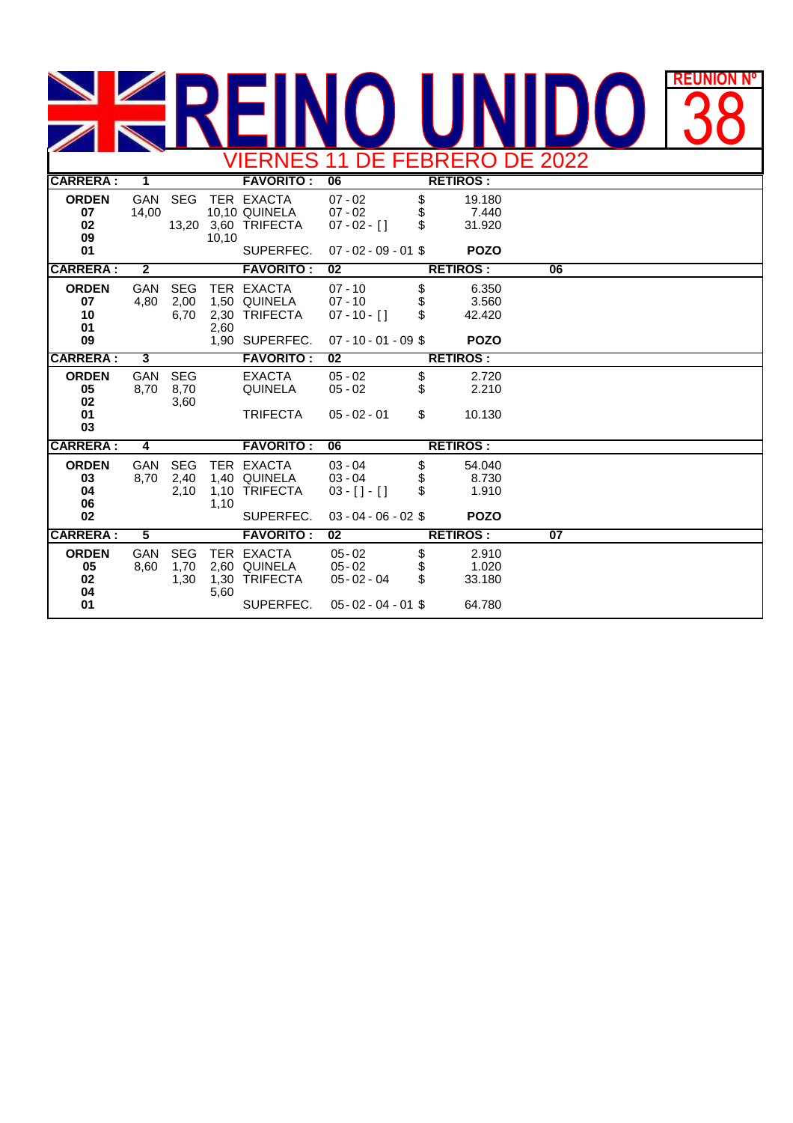## **REUNION REUNIÓN Nº** 38 VIERNES 11 DE FEBRERO DE 2022

| VILINNEU II DE I EDINENU DE ZUZZ     |                         |                            |              |                                                                 |                                                                      |                 |                                         |                 |  |  |  |
|--------------------------------------|-------------------------|----------------------------|--------------|-----------------------------------------------------------------|----------------------------------------------------------------------|-----------------|-----------------------------------------|-----------------|--|--|--|
| <b>CARRERA:</b>                      | $\overline{1}$          |                            |              | <b>FAVORITO:</b>                                                | <b>RETIROS:</b><br>06                                                |                 |                                         |                 |  |  |  |
| <b>ORDEN</b><br>07<br>02<br>09       | <b>GAN</b><br>14,00     | <b>SEG</b>                 | 10,10        | TER EXACTA<br>10,10 QUINELA<br>13,20 3,60 TRIFECTA              | $07 - 02$<br>$07 - 02$<br>$07 - 02 - 1$                              | \$<br>\$<br>\$  | 19.180<br>7.440<br>31.920               |                 |  |  |  |
| 01                                   |                         |                            |              | SUPERFEC.                                                       | $07 - 02 - 09 - 01$ \$                                               |                 | <b>POZO</b>                             |                 |  |  |  |
| <b>CARRERA:</b>                      | $\overline{2}$          |                            |              | <b>FAVORITO:</b>                                                | 02                                                                   |                 | <b>RETIROS:</b>                         | 06              |  |  |  |
| <b>ORDEN</b><br>07<br>10<br>01<br>09 | <b>GAN</b><br>4,80      | <b>SEG</b><br>2,00<br>6,70 | 2,30<br>2,60 | TER EXACTA<br>1,50 QUINELA<br><b>TRIFECTA</b><br>1,90 SUPERFEC. | $07 - 10$<br>$07 - 10$<br>$07 - 10 - 1$<br>$07 - 10 - 01 - 09$ \$    | \$<br>\$<br>\$. | 6.350<br>3.560<br>42.420<br><b>POZO</b> |                 |  |  |  |
|                                      |                         |                            |              |                                                                 |                                                                      |                 |                                         |                 |  |  |  |
| <b>CARRERA:</b>                      | 3                       |                            |              | <b>FAVORITO:</b>                                                | 02                                                                   |                 | <b>RETIROS:</b>                         |                 |  |  |  |
| <b>ORDEN</b><br>05<br>02             | <b>GAN</b><br>8,70      | <b>SEG</b><br>8,70<br>3,60 |              | <b>EXACTA</b><br><b>QUINELA</b>                                 | $05 - 02$<br>$05 - 02$                                               | \$<br>\$        | 2.720<br>2.210                          |                 |  |  |  |
| 01<br>03                             |                         |                            |              | <b>TRIFECTA</b>                                                 | $05 - 02 - 01$                                                       | \$              | 10.130                                  |                 |  |  |  |
| <b>CARRERA:</b>                      | $\overline{4}$          |                            |              | <b>FAVORITO:</b>                                                | 06                                                                   |                 | <b>RETIROS:</b>                         |                 |  |  |  |
| <b>ORDEN</b><br>03<br>04<br>06<br>02 | <b>GAN</b><br>8,70      | <b>SEG</b><br>2,40<br>2,10 | 1,10<br>1,10 | TER EXACTA<br>1,40 QUINELA<br><b>TRIFECTA</b><br>SUPERFEC.      | $03 - 04$<br>$03 - 04$<br>$03 - [ ] - [ ]$<br>$03 - 04 - 06 - 02$ \$ | \$<br>\$<br>\$  | 54.040<br>8.730<br>1.910<br><b>POZO</b> |                 |  |  |  |
| <b>CARRERA:</b>                      | $\overline{\mathbf{5}}$ |                            |              | <b>FAVORITO:</b>                                                | 02                                                                   |                 | <b>RETIROS:</b>                         | $\overline{07}$ |  |  |  |
|                                      |                         |                            |              |                                                                 |                                                                      |                 |                                         |                 |  |  |  |
| <b>ORDEN</b><br>05<br>02<br>04<br>01 | <b>GAN</b><br>8,60      | <b>SEG</b><br>1,70<br>1,30 | 1,30<br>5,60 | TER EXACTA<br>2,60 QUINELA<br><b>TRIFECTA</b><br>SUPERFEC.      | $05 - 02$<br>$05 - 02$<br>$05 - 02 - 04$<br>$05 - 02 - 04 - 01$ \$   | \$<br>\$<br>\$. | 2.910<br>1.020<br>33.180<br>64.780      |                 |  |  |  |
|                                      |                         |                            |              |                                                                 |                                                                      |                 |                                         |                 |  |  |  |